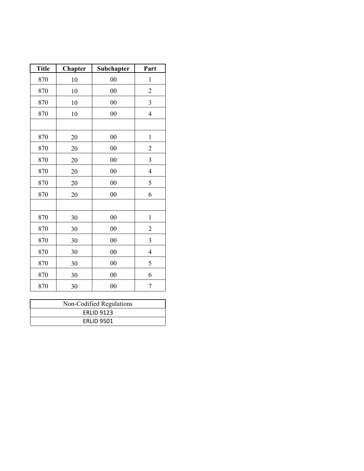| <b>Title</b> | Chapter | Subchapter | Part                    |
|--------------|---------|------------|-------------------------|
| 870          | 10      | 00         | $\mathbf{1}$            |
| 870          | 10      | $00\,$     | $\overline{c}$          |
| 870          | 10      | $00\,$     | $\overline{\mathbf{3}}$ |
| 870          | 10      | $00\,$     | $\overline{4}$          |
|              |         |            |                         |
| 870          | 20      | $00\,$     | $\mathbf{1}$            |
| 870          | 20      | $00\,$     | $\overline{c}$          |
| 870          | 20      | $00\,$     | $\mathfrak{Z}$          |
| 870          | 20      | $00\,$     | $\overline{4}$          |
| 870          | 20      | $00\,$     | 5                       |
| 870          | 20      | $00\,$     | 6                       |
|              |         |            |                         |
| 870          | 30      | $00\,$     | $\mathbf 1$             |
| 870          | 30      | $00\,$     | $\overline{c}$          |
| 870          | 30      | $00\,$     | $\mathfrak{Z}$          |
| 870          | 30      | $00\,$     | $\overline{4}$          |
| 870          | 30      | $00\,$     | 5                       |
| 870          | 30      | 00         | 6                       |
| 870          | 30      | 00         | $\boldsymbol{7}$        |

| Non-Codified Regulations |  |  |
|--------------------------|--|--|
| <b>ERLID 9123</b>        |  |  |
| <b>ERLID 9501</b>        |  |  |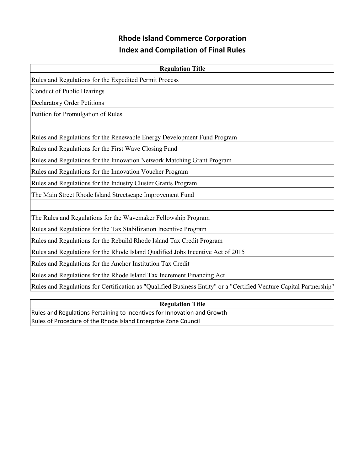## **Rhode Island Commerce Corporation Index and Compilation of Final Rules**

| <b>Regulation Title</b>                                                                                             |  |  |  |
|---------------------------------------------------------------------------------------------------------------------|--|--|--|
| Rules and Regulations for the Expedited Permit Process                                                              |  |  |  |
| Conduct of Public Hearings                                                                                          |  |  |  |
| <b>Declaratory Order Petitions</b>                                                                                  |  |  |  |
| Petition for Promulgation of Rules                                                                                  |  |  |  |
|                                                                                                                     |  |  |  |
| Rules and Regulations for the Renewable Energy Development Fund Program                                             |  |  |  |
| Rules and Regulations for the First Wave Closing Fund                                                               |  |  |  |
| Rules and Regulations for the Innovation Network Matching Grant Program                                             |  |  |  |
| Rules and Regulations for the Innovation Voucher Program                                                            |  |  |  |
| Rules and Regulations for the Industry Cluster Grants Program                                                       |  |  |  |
| The Main Street Rhode Island Streetscape Improvement Fund                                                           |  |  |  |
|                                                                                                                     |  |  |  |
| The Rules and Regulations for the Wavemaker Fellowship Program                                                      |  |  |  |
| Rules and Regulations for the Tax Stabilization Incentive Program                                                   |  |  |  |
| Rules and Regulations for the Rebuild Rhode Island Tax Credit Program                                               |  |  |  |
| Rules and Regulations for the Rhode Island Qualified Jobs Incentive Act of 2015                                     |  |  |  |
| Rules and Regulations for the Anchor Institution Tax Credit                                                         |  |  |  |
| Rules and Regulations for the Rhode Island Tax Increment Financing Act                                              |  |  |  |
| Rules and Regulations for Certification as "Qualified Business Entity" or a "Certified Venture Capital Partnership" |  |  |  |
|                                                                                                                     |  |  |  |

**Regulation Title** Rules and Regulations Pertaining to Incentives for Innovation and Growth Rules of Procedure of the Rhode Island Enterprise Zone Council